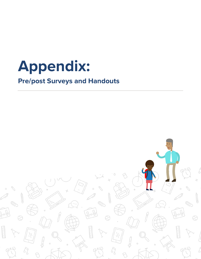

# **Pre/post Surveys and Handouts**

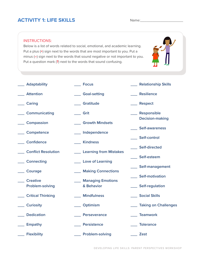### **ACTIVITY 1: LIFE SKILLS** Name:

#### INSTRUCTIONS:

Below is a list of words related to social, emotional, and academic learning. Put a plus (**+**) sign next to the words that are most important to you. Put a minus (**–**) sign next to the words that sound negative or not important to you. Put a question mark (**?**) next to the words that sound confusing.



- **\_\_\_ Adaptability**
- **\_\_\_ Focus**

- **\_\_\_ Attention**
- **\_\_\_ Caring**
- **\_\_\_ Communicating**
- **\_\_\_ Compassion**
- **\_\_\_ Competence**
- **\_\_\_ Confidence**
- **\_\_\_ Conflict Resolution**
- **\_\_\_ Connecting**
- 
- **\_\_\_ Courage**
- **\_\_\_ Creative Problem-solving**
- **\_\_\_ Critical Thinking**
- **\_\_\_ Curiosity**
- **\_\_\_ Dedication**
- **\_\_\_ Empathy**
- 
- **\_\_\_ Flexibility**
- **\_\_\_ Goal-setting**
- **\_\_\_ Gratitude**
- **\_\_\_ Grit**
- **\_\_\_ Growth Mindsets**
- **\_\_\_ Independence**
- **\_\_\_ Kindness**
	- **\_\_\_ Learning from Mistakes**
- **\_\_\_ Love of Learning**
	- **\_\_\_ Making Connections**
	- **\_\_\_ Managing Emotions & Behavior**
	- **\_\_\_ Mindfulness**
	- **\_\_\_ Optimism**
	- **\_\_\_ Perseverance**
	- **\_\_\_ Persistence**
	- **\_\_\_ Problem-solving**
- **\_\_\_ Relationship Skills**
- **\_\_\_ Resilience**
- **\_\_\_ Respect**
- **\_\_\_ Responsible Decision-making**
- **\_\_\_ Self-awareness**
- **\_\_\_ Self-control**
- **\_\_\_ Self-directed**
- **\_\_\_ Self-esteem**
- **\_\_\_ Self-management**
- **\_\_\_ Self-motivation**
- **\_\_\_ Self-regulation**
- **\_\_\_ Social Skills**
- **\_\_\_ Taking on Challenges**
- **\_\_\_ Teamwork**
- **\_\_\_ Tolerance**
- **\_\_\_ Zest**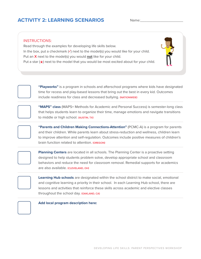## **ACTIVITY 2: LEARNING SCENARIOS** Name:

#### INSTRUCTIONS:

Read through the examples for developing life skills below. In the box, put a checkmark (**✓**) next to the model(s) you would like for your child. Put an **X** next to the model(s) you would **not** like for your child. Put a star  $(\star)$  next to the model that you would be most excited about for your child.



**"Playworks"** is a program in schools and afterschool programs where kids have designated time for recess and play-based lessons that bring out the best in every kid. Outcomes include readiness for class and decreased bullying. **(NATIONWIDE)**



**"MAPS" class** (MAPS= Methods for Academic and Personal Success) is semester-long class that helps students learn to organize their time, manage emotions and navigate transitions to middle or high school. **(AUSTIN, TX)**

**"Parents and Children Making Connections-Attention"** (PCMC-A) is a program for parents and their children. While parents learn about stress-reduction and wellness, children learn to improve attention and self-regulation. Outcomes include positive measures of children's brain function related to attention. **(OREGON)**



**Planning Centers** are located in all schools. The Planning Center is a proactive setting designed to help students problem solve, develop appropriate school and classroom behaviors and reduce the need for classroom removal. Remedial supports for academics are also available. **(CLEVELAND, OH)**



**Learning Hub schools** are designated within the school district to make social, emotional and cognitive learning a priority in their school. In each Learning Hub school, there are lessons and activities that reinforce these skills across academic and elective classes throughout the school day. **(OAKLAND, CA)**



**Add local program description here:**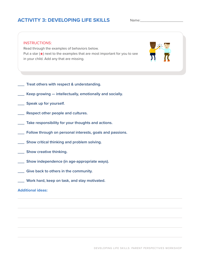## **ACTIVITY 3: DEVELOPING LIFE SKILLS**

Name:



 $\_$  , and the set of the set of the set of the set of the set of the set of the set of the set of the set of the set of the set of the set of the set of the set of the set of the set of the set of the set of the set of th

 $\_$  , and the set of the set of the set of the set of the set of the set of the set of the set of the set of the set of the set of the set of the set of the set of the set of the set of the set of the set of the set of th

 $\_$  , and the set of the set of the set of the set of the set of the set of the set of the set of the set of the set of the set of the set of the set of the set of the set of the set of the set of the set of the set of th

- **\_\_\_ Treat others with respect & understanding.**
- **\_\_\_ Keep growing intellectually, emotionally and socially.**
- **\_\_\_ Speak up for yourself.**
- **\_\_\_ Respect other people and cultures.**
- **\_\_\_ Take responsibility for your thoughts and actions.**
- **\_\_\_ Follow through on personal interests, goals and passions.**
- **\_\_\_ Show critical thinking and problem solving.**
- **\_\_\_ Show creative thinking.**
- **\_\_\_ Show independence (in age-appropriate ways).**
- **\_\_\_ Give back to others in the community.**
- **\_\_\_ Work hard, keep on task, and stay motivated.**

### **Additional ideas:**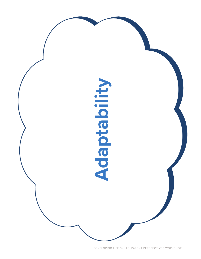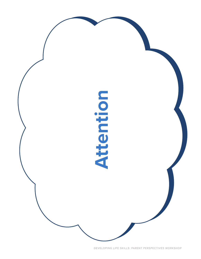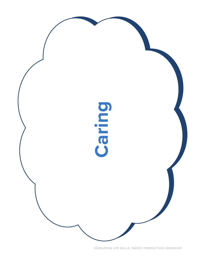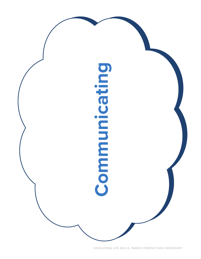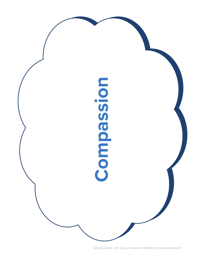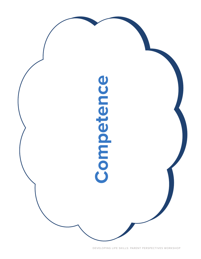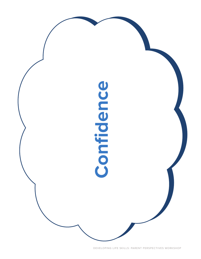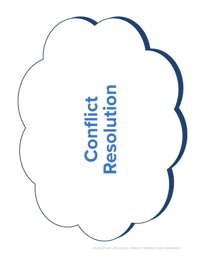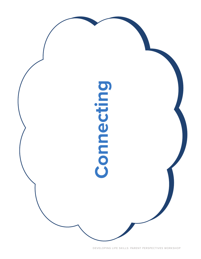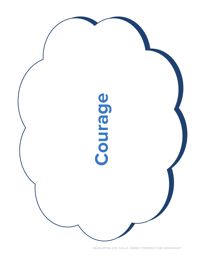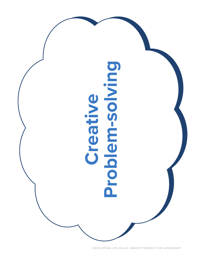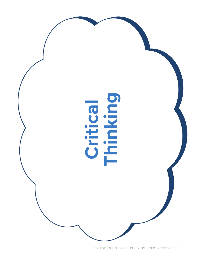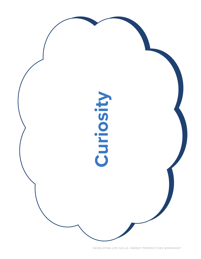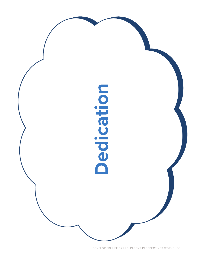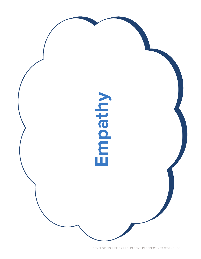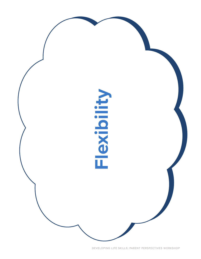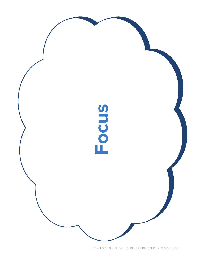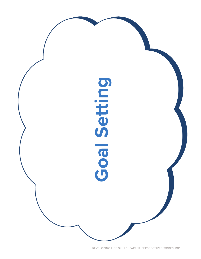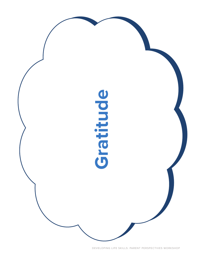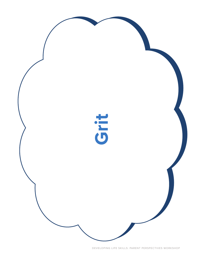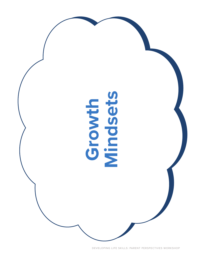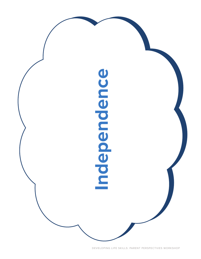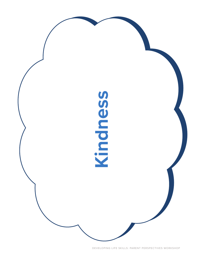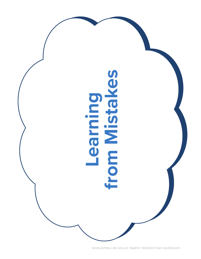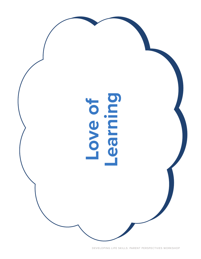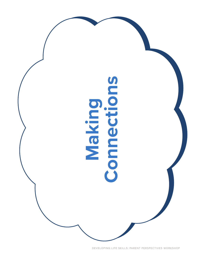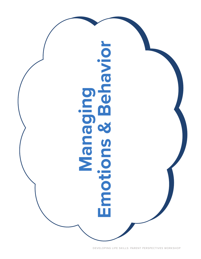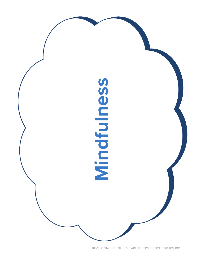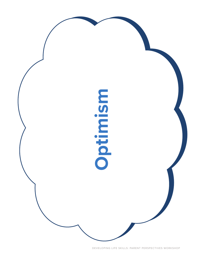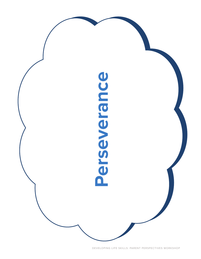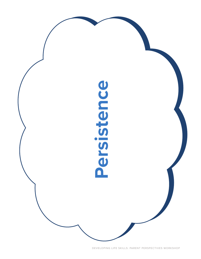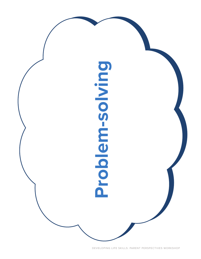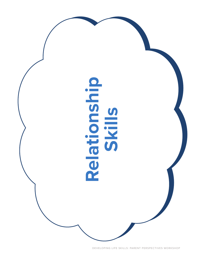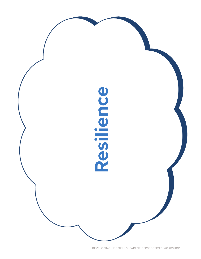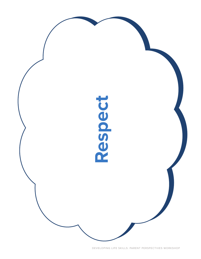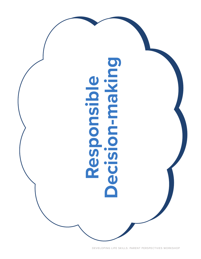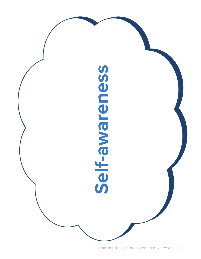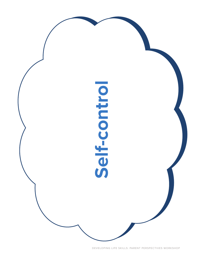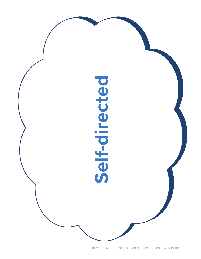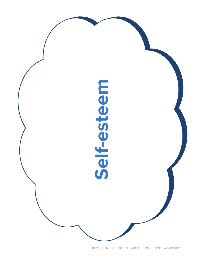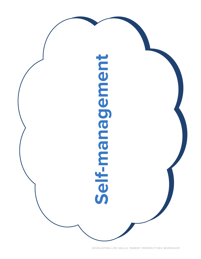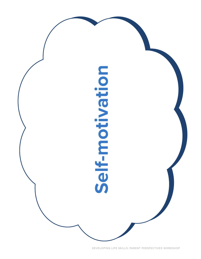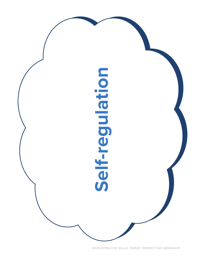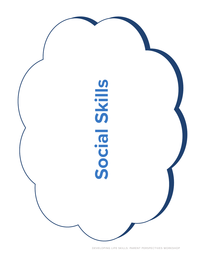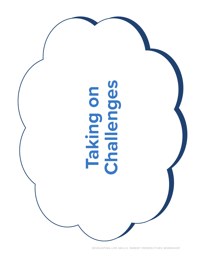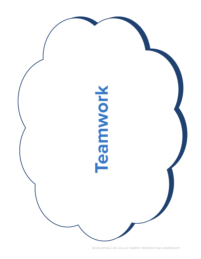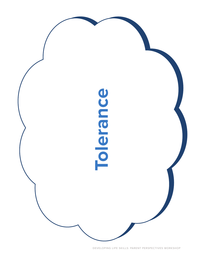